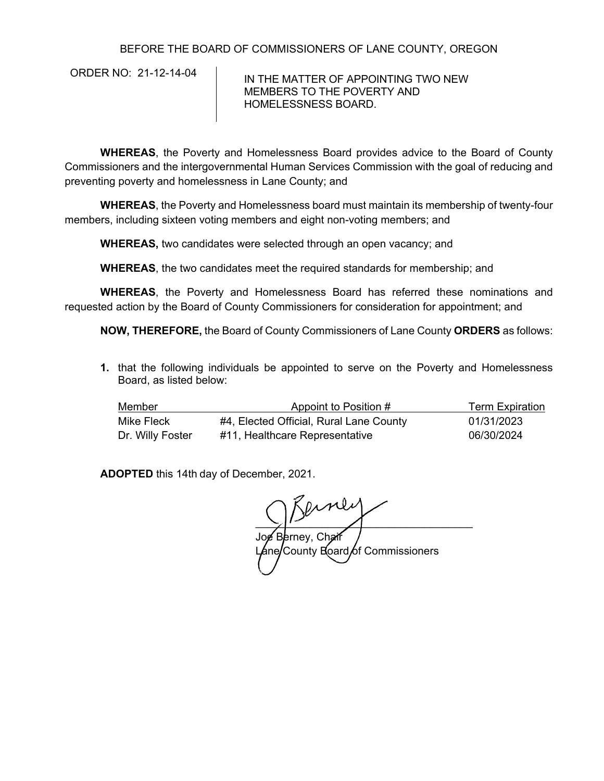## BEFORE THE BOARD OF COMMISSIONERS OF LANE COUNTY, OREGON

ORDER NO: 21-12-14-04 | IN THE MATTER OF APPOINTING TWO NEW MEMBERS TO THE POVERTY AND HOMELESSNESS BOARD.

**WHEREAS**, the Poverty and Homelessness Board provides advice to the Board of County Commissioners and the intergovernmental Human Services Commission with the goal of reducing and preventing poverty and homelessness in Lane County; and

**WHEREAS**, the Poverty and Homelessness board must maintain its membership of twenty-four members, including sixteen voting members and eight non-voting members; and

**WHEREAS,** two candidates were selected through an open vacancy; and

**WHEREAS**, the two candidates meet the required standards for membership; and

**WHEREAS**, the Poverty and Homelessness Board has referred these nominations and requested action by the Board of County Commissioners for consideration for appointment; and

**NOW, THEREFORE,** the Board of County Commissioners of Lane County **ORDERS** as follows:

**1.** that the following individuals be appointed to serve on the Poverty and Homelessness Board, as listed below:

| Member           | Appoint to Position #                   | <b>Term Expiration</b> |  |
|------------------|-----------------------------------------|------------------------|--|
| Mike Fleck       | #4, Elected Official, Rural Lane County | 01/31/2023             |  |
| Dr. Willy Foster | #11, Healthcare Representative          | 06/30/2024             |  |

**ADOPTED** this 14th day of December, 2021.

 $\sum_{i=1}^{n}$ Joe Berney, Chair Lane/County Board of Commissioners